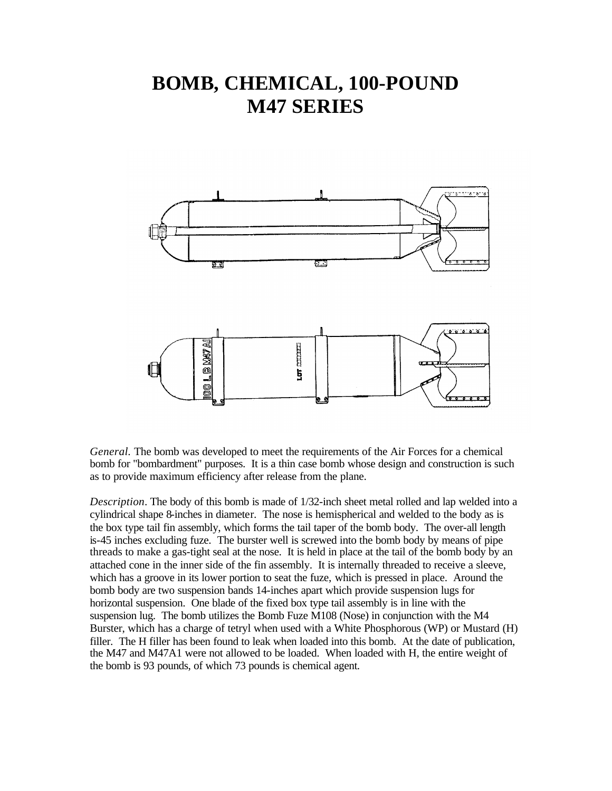## **BOMB, CHEMICAL, 100-POUND M47 SERIES**



*General.* The bomb was developed to meet the requirements of the Air Forces for a chemical bomb for "bombardment" purposes. It is a thin case bomb whose design and construction is such as to provide maximum efficiency after release from the plane.

*Description*. The body of this bomb is made of 1/32-inch sheet metal rolled and lap welded into a cylindrical shape 8-inches in diameter. The nose is hemispherical and welded to the body as is the box type tail fin assembly, which forms the tail taper of the bomb body. The over-all length is-45 inches excluding fuze. The burster well is screwed into the bomb body by means of pipe threads to make a gas-tight seal at the nose. It is held in place at the tail of the bomb body by an attached cone in the inner side of the fin assembly. It is internally threaded to receive a sleeve, which has a groove in its lower portion to seat the fuze, which is pressed in place. Around the bomb body are two suspension bands 14-inches apart which provide suspension lugs for horizontal suspension. One blade of the fixed box type tail assembly is in line with the suspension lug. The bomb utilizes the Bomb Fuze M108 (Nose) in conjunction with the M4 Burster, which has a charge of tetryl when used with a White Phosphorous (WP) or Mustard (H) filler. The H filler has been found to leak when loaded into this bomb. At the date of publication, the M47 and M47A1 were not allowed to be loaded. When loaded with H, the entire weight of the bomb is 93 pounds, of which 73 pounds is chemical agent.